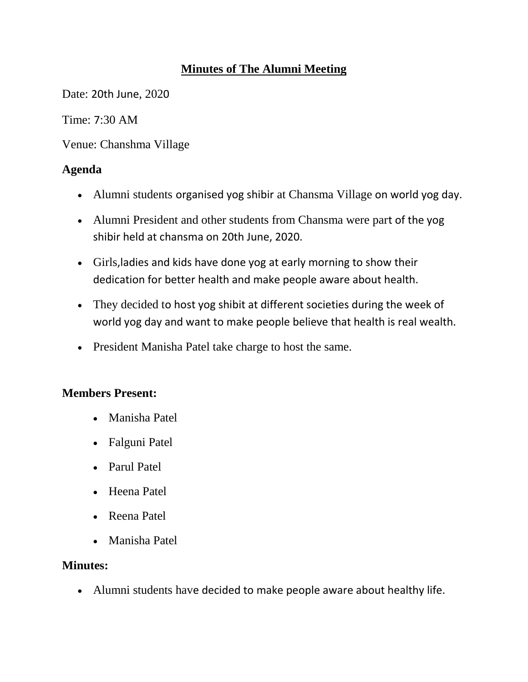# **Minutes of The Alumni Meeting**

Date: 20th June, 2020

Time: 7:30 AM

Venue: Chanshma Village

# **Agenda**

- Alumni students organised yog shibir at Chansma Village on world yog day.
- Alumni President and other students from Chansma were part of the yog shibir held at chansma on 20th June, 2020.
- Girls,ladies and kids have done yog at early morning to show their dedication for better health and make people aware about health.
- They decided to host yog shibit at different societies during the week of world yog day and want to make people believe that health is real wealth.
- President Manisha Patel take charge to host the same.

# **Members Present:**

- Manisha Patel
- Falguni Patel
- Parul Patel
- Heena Patel
- Reena Patel
- Manisha Patel

### **Minutes:**

Alumni students have decided to make people aware about healthy life.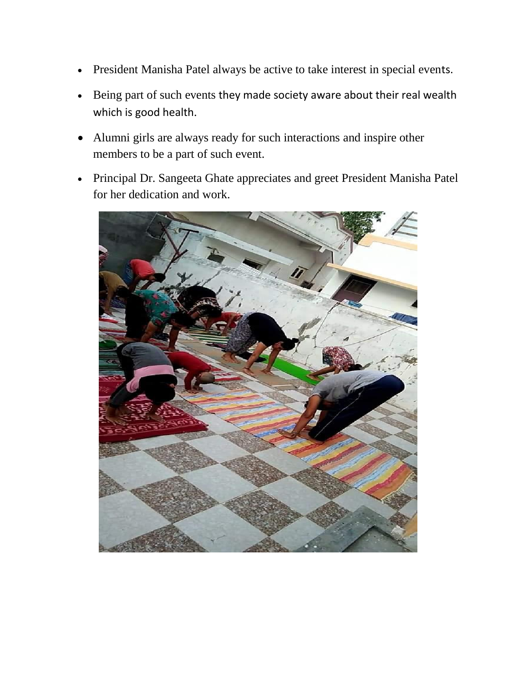- President Manisha Patel always be active to take interest in special events.
- Being part of such events they made society aware about their real wealth which is good health.
- Alumni girls are always ready for such interactions and inspire other members to be a part of such event.
- Principal Dr. Sangeeta Ghate appreciates and greet President Manisha Patel for her dedication and work.

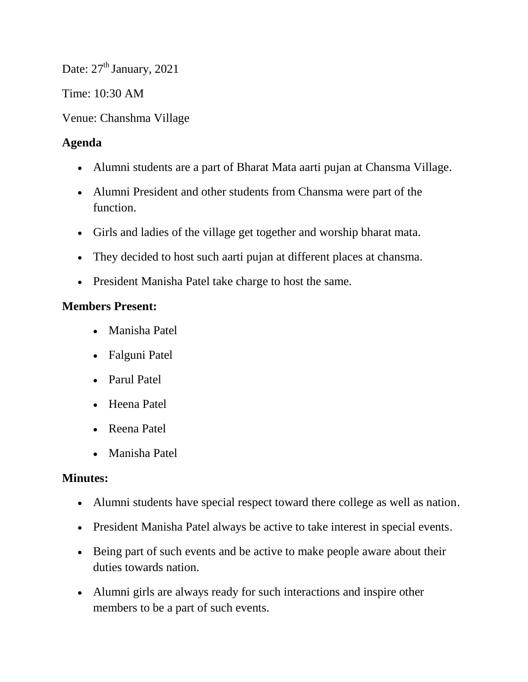Date:  $27<sup>th</sup>$  January, 2021

Time: 10:30 AM

Venue: Chanshma Village

# **Agenda**

- Alumni students are a part of Bharat Mata aarti pujan at Chansma Village.
- Alumni President and other students from Chansma were part of the function.
- Girls and ladies of the village get together and worship bharat mata.
- They decided to host such aarti pujan at different places at chansma.
- President Manisha Patel take charge to host the same.

### **Members Present:**

- Manisha Patel
- Falguni Patel
- Parul Patel
- Heena Patel
- Reena Patel
- Manisha Patel

### **Minutes:**

- Alumni students have special respect toward there college as well as nation.
- President Manisha Patel always be active to take interest in special events.
- Being part of such events and be active to make people aware about their duties towards nation.
- Alumni girls are always ready for such interactions and inspire other members to be a part of such events.